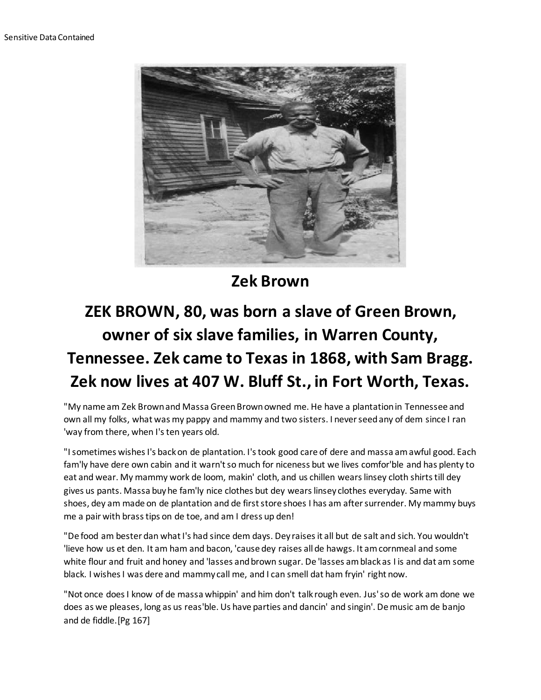

**Zek Brown**

## **ZEK BROWN, 80, was born a slave of Green Brown, owner of six slave families, in Warren County, Tennessee. Zek came to Texas in 1868, with Sam Bragg. Zek now lives at 407 W. Bluff St., in Fort Worth, Texas.**

"My name am Zek Brown and Massa Green Brown owned me. He have a plantation in Tennessee and own all my folks, what was my pappy and mammy and two sisters. I never seed any of dem since I ran 'way from there, when I's ten years old.

"I sometimes wishes I's back on de plantation. I's took good care of dere and massa am awful good. Each fam'ly have dere own cabin and it warn't so much for niceness but we lives comfor'ble and has plenty to eat and wear. My mammy work de loom, makin' cloth, and us chillen wears linsey cloth shirts till dey gives us pants. Massa buy he fam'ly nice clothes but dey wears linsey clothes everyday. Same with shoes, dey am made on de plantation and de first store shoes I has am after surrender. My mammy buys me a pair with brass tips on de toe, and am I dress up den!

"De food am bester dan what I's had since dem days. Dey raises it all but de salt and sich. You wouldn't 'lieve how us et den. It am ham and bacon, 'cause dey raises all de hawgs. It am cornmeal and some white flour and fruit and honey and 'lasses and brown sugar. De 'lasses am black as I is and dat am some black. I wishes I was dere and mammy call me, and I can smell dat ham fryin' right now.

"Not once does I know of de massa whippin' and him don't talk rough even. Jus' so de work am done we does as we pleases, long as us reas'ble. Us have parties and dancin' and singin'. De music am de banjo and de fiddle.[Pg 167]